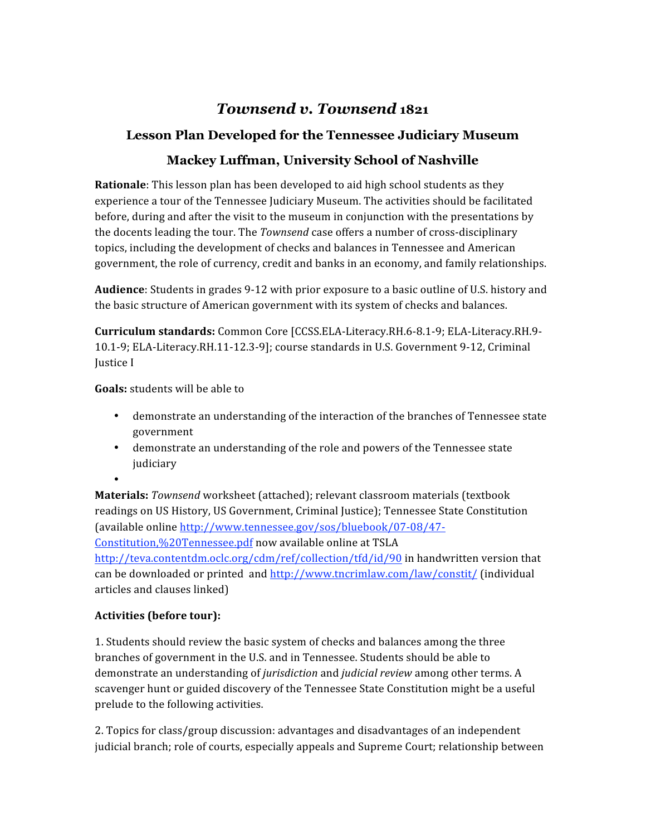# *Townsend v. Townsend* **1821**

## **Lesson Plan Developed for the Tennessee Judiciary Museum**

# **Mackey Luffman, University School of Nashville**

**Rationale**: This lesson plan has been developed to aid high school students as they experience a tour of the Tennessee Judiciary Museum. The activities should be facilitated before, during and after the visit to the museum in conjunction with the presentations by the docents leading the tour. The *Townsend* case offers a number of cross-disciplinary topics, including the development of checks and balances in Tennessee and American government, the role of currency, credit and banks in an economy, and family relationships.

**Audience**: Students in grades 9‐12 with prior exposure to a basic outline of U.S. history and the basic structure of American government with its system of checks and balances.

**Curriculum standards:** Common Core [CCSS.ELA‐Literacy.RH.6‐8.1‐9; ELA‐Literacy.RH.9‐ 10.1‐9; ELA‐Literacy.RH.11‐12.3‐9]; course standards in U.S. Government 9‐12, Criminal Justice I

**Goals:** students will be able to

- demonstrate an understanding of the interaction of the branches of Tennessee state government
- demonstrate an understanding of the role and powers of the Tennessee state judiciary
- •

**Materials:** *Townsend* worksheet (attached); relevant classroom materials (textbook readings on US History, US Government, Criminal Justice); Tennessee State Constitution (available online http://www.tennessee.gov/sos/bluebook/07‐08/47‐ Constitution,%20Tennessee.pdf now available online at TSLA http://teva.contentdm.oclc.org/cdm/ref/collection/tfd/id/90 in handwritten version that can be downloaded or printed and http://www.tncrimlaw.com/law/constit/ (individual articles and clauses linked)

### **Activities (before tour):**

1. Students should review the basic system of checks and balances among the three branches of government in the U.S. and in Tennessee. Students should be able to demonstrate an understanding of *jurisdiction* and *judicial review* among other terms. A scavenger hunt or guided discovery of the Tennessee State Constitution might be a useful prelude to the following activities.

2. Topics for class/group discussion: advantages and disadvantages of an independent judicial branch; role of courts, especially appeals and Supreme Court; relationship between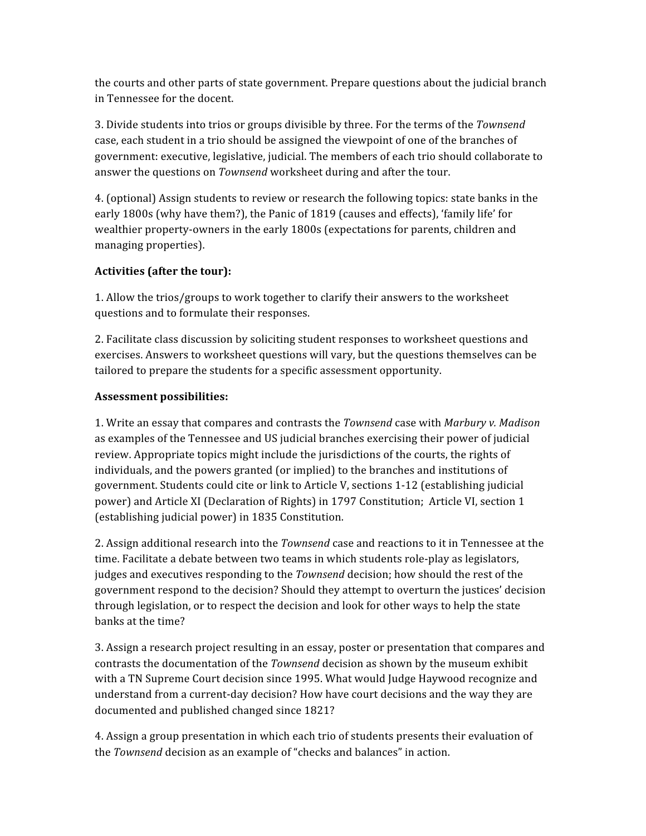the courts and other parts of state government. Prepare questions about the judicial branch in Tennessee for the docent.

3. Divide students into trios or groups divisible by three. For the terms of the *Townsend*  case, each student in a trio should be assigned the viewpoint of one of the branches of government: executive, legislative, judicial. The members of each trio should collaborate to answer the questions on *Townsend* worksheet during and after the tour.

4. (optional) Assign students to review or research the following topics: state banks in the early 1800s (why have them?), the Panic of 1819 (causes and effects), 'family life' for wealthier property‐owners in the early 1800s (expectations for parents, children and managing properties).

### **Activities (after the tour):**

1. Allow the trios/groups to work together to clarify their answers to the worksheet questions and to formulate their responses.

2. Facilitate class discussion by soliciting student responses to worksheet questions and exercises. Answers to worksheet questions will vary, but the questions themselves can be tailored to prepare the students for a specific assessment opportunity.

#### **Assessment possibilities:**

1. Write an essay that compares and contrasts the *Townsend* case with *Marbury v. Madison*  as examples of the Tennessee and US judicial branches exercising their power of judicial review. Appropriate topics might include the jurisdictions of the courts, the rights of individuals, and the powers granted (or implied) to the branches and institutions of government. Students could cite or link to Article V, sections 1‐12 (establishing judicial power) and Article XI (Declaration of Rights) in 1797 Constitution; Article VI, section 1 (establishing judicial power) in 1835 Constitution.

2. Assign additional research into the *Townsend* case and reactions to it in Tennessee at the time. Facilitate a debate between two teams in which students role‐play as legislators, judges and executives responding to the *Townsend* decision; how should the rest of the government respond to the decision? Should they attempt to overturn the justices' decision through legislation, or to respect the decision and look for other ways to help the state banks at the time?

3. Assign a research project resulting in an essay, poster or presentation that compares and contrasts the documentation of the *Townsend* decision as shown by the museum exhibit with a TN Supreme Court decision since 1995. What would Judge Haywood recognize and understand from a current-day decision? How have court decisions and the way they are documented and published changed since 1821?

4. Assign a group presentation in which each trio of students presents their evaluation of the *Townsend* decision as an example of "checks and balances" in action.